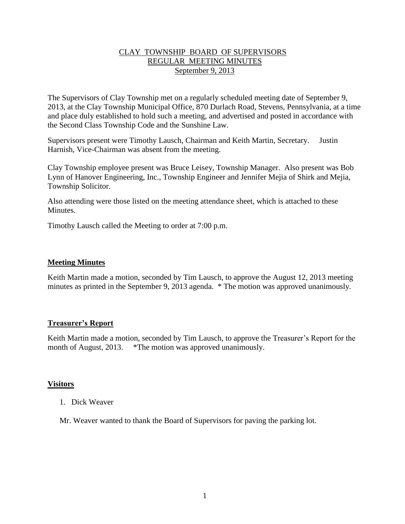### CLAY TOWNSHIP BOARD OF SUPERVISORS REGULAR MEETING MINUTES September 9, 2013

The Supervisors of Clay Township met on a regularly scheduled meeting date of September 9, 2013, at the Clay Township Municipal Office, 870 Durlach Road, Stevens, Pennsylvania, at a time and place duly established to hold such a meeting, and advertised and posted in accordance with the Second Class Township Code and the Sunshine Law.

Supervisors present were Timothy Lausch, Chairman and Keith Martin, Secretary. Justin Harnish, Vice-Chairman was absent from the meeting.

Clay Township employee present was Bruce Leisey, Township Manager. Also present was Bob Lynn of Hanover Engineering, Inc., Township Engineer and Jennifer Mejia of Shirk and Mejia, Township Solicitor.

Also attending were those listed on the meeting attendance sheet, which is attached to these **Minutes** 

Timothy Lausch called the Meeting to order at 7:00 p.m.

### **Meeting Minutes**

Keith Martin made a motion, seconded by Tim Lausch, to approve the August 12, 2013 meeting minutes as printed in the September 9, 2013 agenda. \* The motion was approved unanimously.

### **Treasurer's Report**

Keith Martin made a motion, seconded by Tim Lausch, to approve the Treasurer's Report for the month of August, 2013. \*The motion was approved unanimously.

### **Visitors**

1. Dick Weaver

Mr. Weaver wanted to thank the Board of Supervisors for paving the parking lot.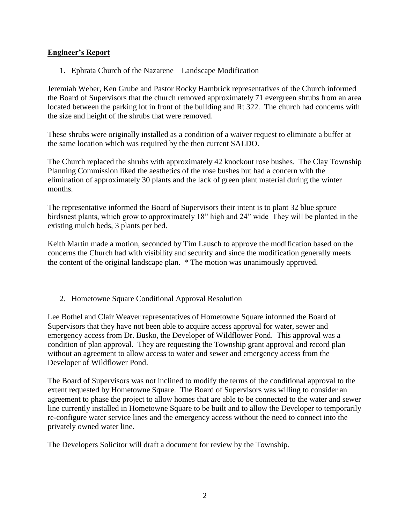## **Engineer's Report**

1. Ephrata Church of the Nazarene – Landscape Modification

Jeremiah Weber, Ken Grube and Pastor Rocky Hambrick representatives of the Church informed the Board of Supervisors that the church removed approximately 71 evergreen shrubs from an area located between the parking lot in front of the building and Rt 322. The church had concerns with the size and height of the shrubs that were removed.

These shrubs were originally installed as a condition of a waiver request to eliminate a buffer at the same location which was required by the then current SALDO.

The Church replaced the shrubs with approximately 42 knockout rose bushes. The Clay Township Planning Commission liked the aesthetics of the rose bushes but had a concern with the elimination of approximately 30 plants and the lack of green plant material during the winter months.

The representative informed the Board of Supervisors their intent is to plant 32 blue spruce birdsnest plants, which grow to approximately 18" high and 24" wide They will be planted in the existing mulch beds, 3 plants per bed.

Keith Martin made a motion, seconded by Tim Lausch to approve the modification based on the concerns the Church had with visibility and security and since the modification generally meets the content of the original landscape plan. \* The motion was unanimously approved.

## 2. Hometowne Square Conditional Approval Resolution

Lee Bothel and Clair Weaver representatives of Hometowne Square informed the Board of Supervisors that they have not been able to acquire access approval for water, sewer and emergency access from Dr. Busko, the Developer of Wildflower Pond. This approval was a condition of plan approval. They are requesting the Township grant approval and record plan without an agreement to allow access to water and sewer and emergency access from the Developer of Wildflower Pond.

The Board of Supervisors was not inclined to modify the terms of the conditional approval to the extent requested by Hometowne Square. The Board of Supervisors was willing to consider an agreement to phase the project to allow homes that are able to be connected to the water and sewer line currently installed in Hometowne Square to be built and to allow the Developer to temporarily re-configure water service lines and the emergency access without the need to connect into the privately owned water line.

The Developers Solicitor will draft a document for review by the Township.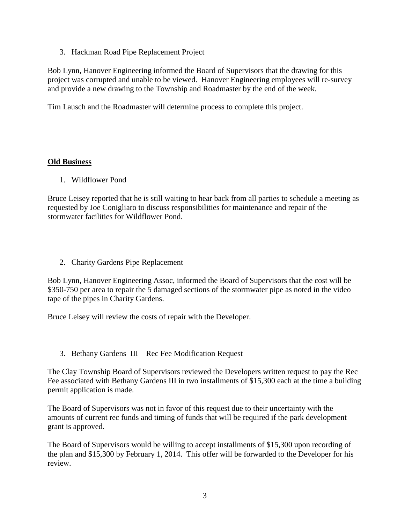3. Hackman Road Pipe Replacement Project

Bob Lynn, Hanover Engineering informed the Board of Supervisors that the drawing for this project was corrupted and unable to be viewed. Hanover Engineering employees will re-survey and provide a new drawing to the Township and Roadmaster by the end of the week.

Tim Lausch and the Roadmaster will determine process to complete this project.

# **Old Business**

1. Wildflower Pond

Bruce Leisey reported that he is still waiting to hear back from all parties to schedule a meeting as requested by Joe Conigliaro to discuss responsibilities for maintenance and repair of the stormwater facilities for Wildflower Pond.

2. Charity Gardens Pipe Replacement

Bob Lynn, Hanover Engineering Assoc, informed the Board of Supervisors that the cost will be \$350-750 per area to repair the 5 damaged sections of the stormwater pipe as noted in the video tape of the pipes in Charity Gardens.

Bruce Leisey will review the costs of repair with the Developer.

3. Bethany Gardens III – Rec Fee Modification Request

The Clay Township Board of Supervisors reviewed the Developers written request to pay the Rec Fee associated with Bethany Gardens III in two installments of \$15,300 each at the time a building permit application is made.

The Board of Supervisors was not in favor of this request due to their uncertainty with the amounts of current rec funds and timing of funds that will be required if the park development grant is approved.

The Board of Supervisors would be willing to accept installments of \$15,300 upon recording of the plan and \$15,300 by February 1, 2014. This offer will be forwarded to the Developer for his review.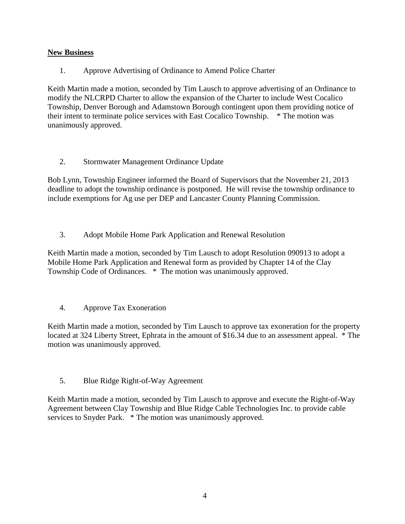# **New Business**

1. Approve Advertising of Ordinance to Amend Police Charter

Keith Martin made a motion, seconded by Tim Lausch to approve advertising of an Ordinance to modify the NLCRPD Charter to allow the expansion of the Charter to include West Cocalico Township, Denver Borough and Adamstown Borough contingent upon them providing notice of their intent to terminate police services with East Cocalico Township. \* The motion was unanimously approved.

2. Stormwater Management Ordinance Update

Bob Lynn, Township Engineer informed the Board of Supervisors that the November 21, 2013 deadline to adopt the township ordinance is postponed. He will revise the township ordinance to include exemptions for Ag use per DEP and Lancaster County Planning Commission.

3. Adopt Mobile Home Park Application and Renewal Resolution

Keith Martin made a motion, seconded by Tim Lausch to adopt Resolution 090913 to adopt a Mobile Home Park Application and Renewal form as provided by Chapter 14 of the Clay Township Code of Ordinances. \* The motion was unanimously approved.

4. Approve Tax Exoneration

Keith Martin made a motion, seconded by Tim Lausch to approve tax exoneration for the property located at 324 Liberty Street, Ephrata in the amount of \$16.34 due to an assessment appeal. \* The motion was unanimously approved.

5. Blue Ridge Right-of-Way Agreement

Keith Martin made a motion, seconded by Tim Lausch to approve and execute the Right-of-Way Agreement between Clay Township and Blue Ridge Cable Technologies Inc. to provide cable services to Snyder Park. \* The motion was unanimously approved.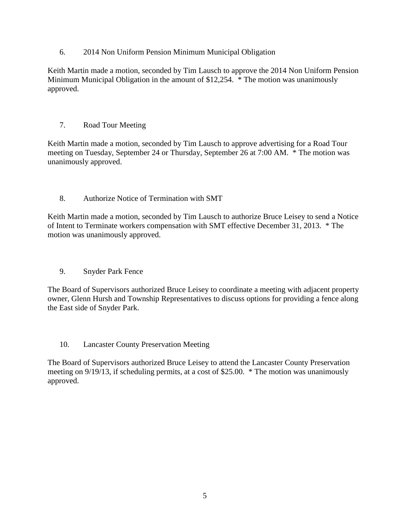6. 2014 Non Uniform Pension Minimum Municipal Obligation

Keith Martin made a motion, seconded by Tim Lausch to approve the 2014 Non Uniform Pension Minimum Municipal Obligation in the amount of \$12,254. \* The motion was unanimously approved.

# 7. Road Tour Meeting

Keith Martin made a motion, seconded by Tim Lausch to approve advertising for a Road Tour meeting on Tuesday, September 24 or Thursday, September 26 at 7:00 AM. \* The motion was unanimously approved.

# 8. Authorize Notice of Termination with SMT

Keith Martin made a motion, seconded by Tim Lausch to authorize Bruce Leisey to send a Notice of Intent to Terminate workers compensation with SMT effective December 31, 2013. \* The motion was unanimously approved.

9. Snyder Park Fence

The Board of Supervisors authorized Bruce Leisey to coordinate a meeting with adjacent property owner, Glenn Hursh and Township Representatives to discuss options for providing a fence along the East side of Snyder Park.

10. Lancaster County Preservation Meeting

The Board of Supervisors authorized Bruce Leisey to attend the Lancaster County Preservation meeting on 9/19/13, if scheduling permits, at a cost of \$25.00. \* The motion was unanimously approved.